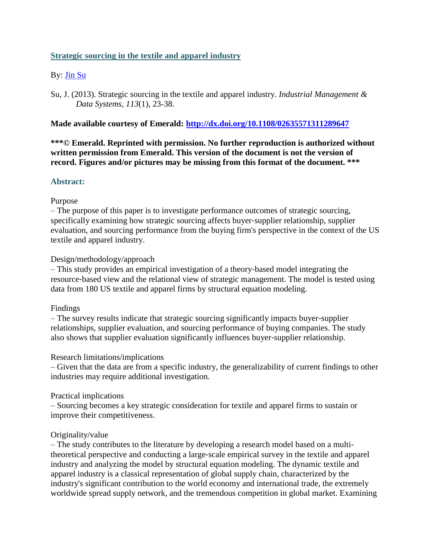## **Strategic sourcing in the textile and apparel industry**

## By: [Jin Su](http://libres.uncg.edu/ir/uncg/clist.aspx?id=13707)

Su, J. (2013). Strategic sourcing in the textile and apparel industry. *Industrial Management & Data Systems, 113*(1), 23-38.

## **Made available courtesy of Emerald:<http://dx.doi.org/10.1108/02635571311289647>**

**\*\*\*© Emerald. Reprinted with permission. No further reproduction is authorized without written permission from Emerald. This version of the document is not the version of record. Figures and/or pictures may be missing from this format of the document. \*\*\***

### **Abstract:**

### Purpose

– The purpose of this paper is to investigate performance outcomes of strategic sourcing, specifically examining how strategic sourcing affects buyer-supplier relationship, supplier evaluation, and sourcing performance from the buying firm's perspective in the context of the US textile and apparel industry.

### Design/methodology/approach

– This study provides an empirical investigation of a theory‐based model integrating the resource-based view and the relational view of strategic management. The model is tested using data from 180 US textile and apparel firms by structural equation modeling.

### Findings

– The survey results indicate that strategic sourcing significantly impacts buyer‐supplier relationships, supplier evaluation, and sourcing performance of buying companies. The study also shows that supplier evaluation significantly influences buyer‐supplier relationship.

### Research limitations/implications

– Given that the data are from a specific industry, the generalizability of current findings to other industries may require additional investigation.

## Practical implications

– Sourcing becomes a key strategic consideration for textile and apparel firms to sustain or improve their competitiveness.

### Originality/value

– The study contributes to the literature by developing a research model based on a multi‐ theoretical perspective and conducting a large‐scale empirical survey in the textile and apparel industry and analyzing the model by structural equation modeling. The dynamic textile and apparel industry is a classical representation of global supply chain, characterized by the industry's significant contribution to the world economy and international trade, the extremely worldwide spread supply network, and the tremendous competition in global market. Examining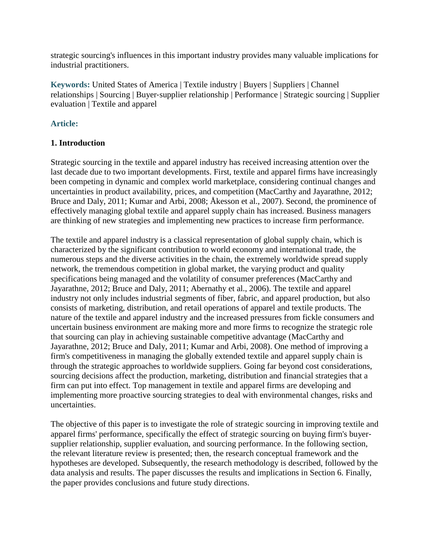strategic sourcing's influences in this important industry provides many valuable implications for industrial practitioners.

**Keywords:** United States of America | Textile industry | Buyers | Suppliers | Channel relationships | Sourcing | Buyer‐supplier relationship | Performance | Strategic sourcing | Supplier evaluation | Textile and apparel

# **Article:**

## **1. Introduction**

Strategic sourcing in the textile and apparel industry has received increasing attention over the last decade due to two important developments. First, textile and apparel firms have increasingly been competing in dynamic and complex world marketplace, considering continual changes and uncertainties in product availability, prices, and competition (MacCarthy and Jayarathne, 2012; Bruce and Daly, 2011; Kumar and Arbi, 2008; Åkesson et al., 2007). Second, the prominence of effectively managing global textile and apparel supply chain has increased. Business managers are thinking of new strategies and implementing new practices to increase firm performance.

The textile and apparel industry is a classical representation of global supply chain, which is characterized by the significant contribution to world economy and international trade, the numerous steps and the diverse activities in the chain, the extremely worldwide spread supply network, the tremendous competition in global market, the varying product and quality specifications being managed and the volatility of consumer preferences (MacCarthy and Jayarathne, 2012; Bruce and Daly, 2011; Abernathy et al., 2006). The textile and apparel industry not only includes industrial segments of fiber, fabric, and apparel production, but also consists of marketing, distribution, and retail operations of apparel and textile products. The nature of the textile and apparel industry and the increased pressures from fickle consumers and uncertain business environment are making more and more firms to recognize the strategic role that sourcing can play in achieving sustainable competitive advantage (MacCarthy and Jayarathne, 2012; Bruce and Daly, 2011; Kumar and Arbi, 2008). One method of improving a firm's competitiveness in managing the globally extended textile and apparel supply chain is through the strategic approaches to worldwide suppliers. Going far beyond cost considerations, sourcing decisions affect the production, marketing, distribution and financial strategies that a firm can put into effect. Top management in textile and apparel firms are developing and implementing more proactive sourcing strategies to deal with environmental changes, risks and uncertainties.

The objective of this paper is to investigate the role of strategic sourcing in improving textile and apparel firms' performance, specifically the effect of strategic sourcing on buying firm's buyersupplier relationship, supplier evaluation, and sourcing performance. In the following section, the relevant literature review is presented; then, the research conceptual framework and the hypotheses are developed. Subsequently, the research methodology is described, followed by the data analysis and results. The paper discusses the results and implications in Section 6. Finally, the paper provides conclusions and future study directions.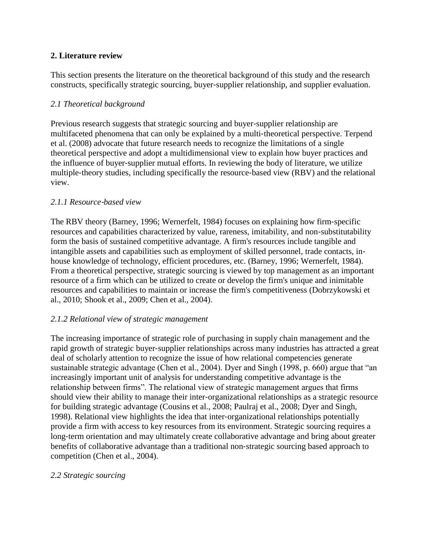## **2. Literature review**

This section presents the literature on the theoretical background of this study and the research constructs, specifically strategic sourcing, buyer‐supplier relationship, and supplier evaluation.

## *2.1 Theoretical background*

Previous research suggests that strategic sourcing and buyer-supplier relationship are multifaceted phenomena that can only be explained by a multi-theoretical perspective. Terpend et al. (2008) advocate that future research needs to recognize the limitations of a single theoretical perspective and adopt a multidimensional view to explain how buyer practices and the influence of buyer‐supplier mutual efforts. In reviewing the body of literature, we utilize multiple‐theory studies, including specifically the resource‐based view (RBV) and the relational view.

### *2.1.1 Resource*‐*based view*

The RBV theory (Barney, 1996; Wernerfelt, 1984) focuses on explaining how firm‐specific resources and capabilities characterized by value, rareness, imitability, and non‐substitutability form the basis of sustained competitive advantage. A firm's resources include tangible and intangible assets and capabilities such as employment of skilled personnel, trade contacts, in‐ house knowledge of technology, efficient procedures, etc. (Barney, 1996; Wernerfelt, 1984). From a theoretical perspective, strategic sourcing is viewed by top management as an important resource of a firm which can be utilized to create or develop the firm's unique and inimitable resources and capabilities to maintain or increase the firm's competitiveness (Dobrzykowski et al., 2010; Shook et al., 2009; Chen et al., 2004).

### *2.1.2 Relational view of strategic management*

The increasing importance of strategic role of purchasing in supply chain management and the rapid growth of strategic buyer‐supplier relationships across many industries has attracted a great deal of scholarly attention to recognize the issue of how relational competencies generate sustainable strategic advantage (Chen et al., 2004). Dyer and Singh (1998, p. 660) argue that "an increasingly important unit of analysis for understanding competitive advantage is the relationship between firms". The relational view of strategic management argues that firms should view their ability to manage their inter-organizational relationships as a strategic resource for building strategic advantage (Cousins et al., 2008; Paulraj et al., 2008; Dyer and Singh, 1998). Relational view highlights the idea that inter‐organizational relationships potentially provide a firm with access to key resources from its environment. Strategic sourcing requires a long-term orientation and may ultimately create collaborative advantage and bring about greater benefits of collaborative advantage than a traditional non‐strategic sourcing based approach to competition (Chen et al., 2004).

### *2.2 Strategic sourcing*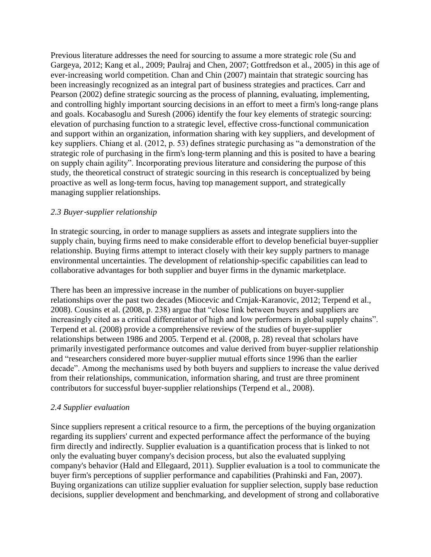Previous literature addresses the need for sourcing to assume a more strategic role (Su and Gargeya, 2012; Kang et al., 2009; Paulraj and Chen, 2007; Gottfredson et al., 2005) in this age of ever-increasing world competition. Chan and Chin (2007) maintain that strategic sourcing has been increasingly recognized as an integral part of business strategies and practices. Carr and Pearson (2002) define strategic sourcing as the process of planning, evaluating, implementing, and controlling highly important sourcing decisions in an effort to meet a firm's long-range plans and goals. Kocabasoglu and Suresh (2006) identify the four key elements of strategic sourcing: elevation of purchasing function to a strategic level, effective cross-functional communication and support within an organization, information sharing with key suppliers, and development of key suppliers. Chiang et al. (2012, p. 53) defines strategic purchasing as "a demonstration of the strategic role of purchasing in the firm's long-term planning and this is posited to have a bearing on supply chain agility". Incorporating previous literature and considering the purpose of this study, the theoretical construct of strategic sourcing in this research is conceptualized by being proactive as well as long‐term focus, having top management support, and strategically managing supplier relationships.

### *2.3 Buyer*‐*supplier relationship*

In strategic sourcing, in order to manage suppliers as assets and integrate suppliers into the supply chain, buying firms need to make considerable effort to develop beneficial buyer-supplier relationship. Buying firms attempt to interact closely with their key supply partners to manage environmental uncertainties. The development of relationship‐specific capabilities can lead to collaborative advantages for both supplier and buyer firms in the dynamic marketplace.

There has been an impressive increase in the number of publications on buyer-supplier relationships over the past two decades (Miocevic and Crnjak‐Karanovic, 2012; Terpend et al., 2008). Cousins et al. (2008, p. 238) argue that "close link between buyers and suppliers are increasingly cited as a critical differentiator of high and low performers in global supply chains". Terpend et al. (2008) provide a comprehensive review of the studies of buyer-supplier relationships between 1986 and 2005. Terpend et al. (2008, p. 28) reveal that scholars have primarily investigated performance outcomes and value derived from buyer-supplier relationship and "researchers considered more buyer‐supplier mutual efforts since 1996 than the earlier decade". Among the mechanisms used by both buyers and suppliers to increase the value derived from their relationships, communication, information sharing, and trust are three prominent contributors for successful buyer‐supplier relationships (Terpend et al., 2008).

## *2.4 Supplier evaluation*

Since suppliers represent a critical resource to a firm, the perceptions of the buying organization regarding its suppliers' current and expected performance affect the performance of the buying firm directly and indirectly. Supplier evaluation is a quantification process that is linked to not only the evaluating buyer company's decision process, but also the evaluated supplying company's behavior (Hald and Ellegaard, 2011). Supplier evaluation is a tool to communicate the buyer firm's perceptions of supplier performance and capabilities (Prahinski and Fan, 2007). Buying organizations can utilize supplier evaluation for supplier selection, supply base reduction decisions, supplier development and benchmarking, and development of strong and collaborative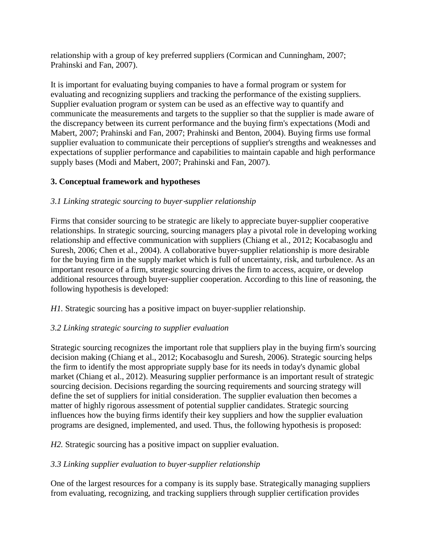relationship with a group of key preferred suppliers (Cormican and Cunningham, 2007; Prahinski and Fan, 2007).

It is important for evaluating buying companies to have a formal program or system for evaluating and recognizing suppliers and tracking the performance of the existing suppliers. Supplier evaluation program or system can be used as an effective way to quantify and communicate the measurements and targets to the supplier so that the supplier is made aware of the discrepancy between its current performance and the buying firm's expectations (Modi and Mabert, 2007; Prahinski and Fan, 2007; Prahinski and Benton, 2004). Buying firms use formal supplier evaluation to communicate their perceptions of supplier's strengths and weaknesses and expectations of supplier performance and capabilities to maintain capable and high performance supply bases (Modi and Mabert, 2007; Prahinski and Fan, 2007).

# **3. Conceptual framework and hypotheses**

# *3.1 Linking strategic sourcing to buyer*‐*supplier relationship*

Firms that consider sourcing to be strategic are likely to appreciate buyer-supplier cooperative relationships. In strategic sourcing, sourcing managers play a pivotal role in developing working relationship and effective communication with suppliers (Chiang et al., 2012; Kocabasoglu and Suresh, 2006; Chen et al., 2004). A collaborative buyer-supplier relationship is more desirable for the buying firm in the supply market which is full of uncertainty, risk, and turbulence. As an important resource of a firm, strategic sourcing drives the firm to access, acquire, or develop additional resources through buyer‐supplier cooperation. According to this line of reasoning, the following hypothesis is developed:

*H1*. Strategic sourcing has a positive impact on buyer-supplier relationship.

# *3.2 Linking strategic sourcing to supplier evaluation*

Strategic sourcing recognizes the important role that suppliers play in the buying firm's sourcing decision making (Chiang et al., 2012; Kocabasoglu and Suresh, 2006). Strategic sourcing helps the firm to identify the most appropriate supply base for its needs in today's dynamic global market (Chiang et al., 2012). Measuring supplier performance is an important result of strategic sourcing decision. Decisions regarding the sourcing requirements and sourcing strategy will define the set of suppliers for initial consideration. The supplier evaluation then becomes a matter of highly rigorous assessment of potential supplier candidates. Strategic sourcing influences how the buying firms identify their key suppliers and how the supplier evaluation programs are designed, implemented, and used. Thus, the following hypothesis is proposed:

*H2.* Strategic sourcing has a positive impact on supplier evaluation.

# *3.3 Linking supplier evaluation to buyer*‐*supplier relationship*

One of the largest resources for a company is its supply base. Strategically managing suppliers from evaluating, recognizing, and tracking suppliers through supplier certification provides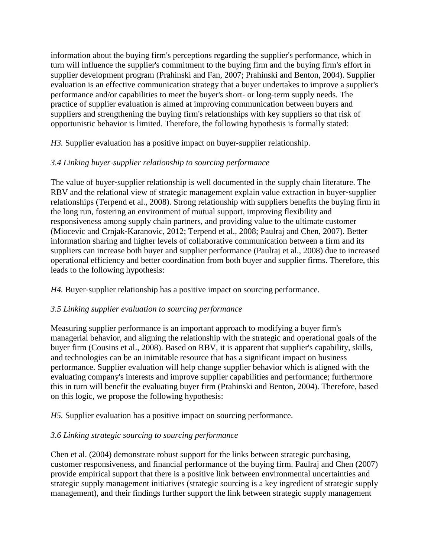information about the buying firm's perceptions regarding the supplier's performance, which in turn will influence the supplier's commitment to the buying firm and the buying firm's effort in supplier development program (Prahinski and Fan, 2007; Prahinski and Benton, 2004). Supplier evaluation is an effective communication strategy that a buyer undertakes to improve a supplier's performance and/or capabilities to meet the buyer's short‐ or long‐term supply needs. The practice of supplier evaluation is aimed at improving communication between buyers and suppliers and strengthening the buying firm's relationships with key suppliers so that risk of opportunistic behavior is limited. Therefore, the following hypothesis is formally stated:

*H3.* Supplier evaluation has a positive impact on buyer-supplier relationship.

# *3.4 Linking buyer*‐*supplier relationship to sourcing performance*

The value of buyer-supplier relationship is well documented in the supply chain literature. The RBV and the relational view of strategic management explain value extraction in buyer-supplier relationships (Terpend et al., 2008). Strong relationship with suppliers benefits the buying firm in the long run, fostering an environment of mutual support, improving flexibility and responsiveness among supply chain partners, and providing value to the ultimate customer (Miocevic and Crnjak‐Karanovic, 2012; Terpend et al., 2008; Paulraj and Chen, 2007). Better information sharing and higher levels of collaborative communication between a firm and its suppliers can increase both buyer and supplier performance (Paulraj et al., 2008) due to increased operational efficiency and better coordination from both buyer and supplier firms. Therefore, this leads to the following hypothesis:

*H4.* Buyer-supplier relationship has a positive impact on sourcing performance.

# *3.5 Linking supplier evaluation to sourcing performance*

Measuring supplier performance is an important approach to modifying a buyer firm's managerial behavior, and aligning the relationship with the strategic and operational goals of the buyer firm (Cousins et al., 2008). Based on RBV, it is apparent that supplier's capability, skills, and technologies can be an inimitable resource that has a significant impact on business performance. Supplier evaluation will help change supplier behavior which is aligned with the evaluating company's interests and improve supplier capabilities and performance; furthermore this in turn will benefit the evaluating buyer firm (Prahinski and Benton, 2004). Therefore, based on this logic, we propose the following hypothesis:

*H5.* Supplier evaluation has a positive impact on sourcing performance.

# *3.6 Linking strategic sourcing to sourcing performance*

Chen et al. (2004) demonstrate robust support for the links between strategic purchasing, customer responsiveness, and financial performance of the buying firm. Paulraj and Chen (2007) provide empirical support that there is a positive link between environmental uncertainties and strategic supply management initiatives (strategic sourcing is a key ingredient of strategic supply management), and their findings further support the link between strategic supply management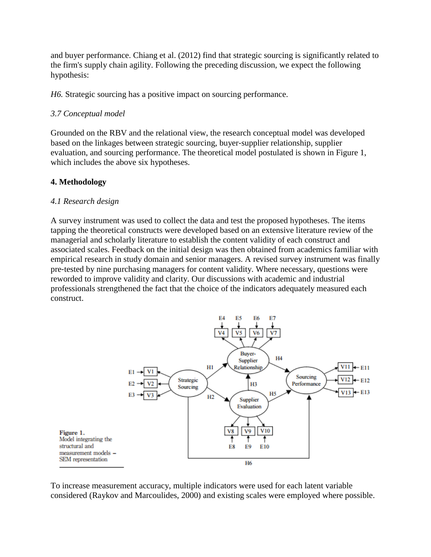and buyer performance. Chiang et al. (2012) find that strategic sourcing is significantly related to the firm's supply chain agility. Following the preceding discussion, we expect the following hypothesis:

*H6.* Strategic sourcing has a positive impact on sourcing performance.

## *3.7 Conceptual model*

Grounded on the RBV and the relational view, the research conceptual model was developed based on the linkages between strategic sourcing, buyer‐supplier relationship, supplier evaluation, and sourcing performance. The theoretical model postulated is shown in Figure 1, which includes the above six hypotheses.

### **4. Methodology**

### *4.1 Research design*

A survey instrument was used to collect the data and test the proposed hypotheses. The items tapping the theoretical constructs were developed based on an extensive literature review of the managerial and scholarly literature to establish the content validity of each construct and associated scales. Feedback on the initial design was then obtained from academics familiar with empirical research in study domain and senior managers. A revised survey instrument was finally pre‐tested by nine purchasing managers for content validity. Where necessary, questions were reworded to improve validity and clarity. Our discussions with academic and industrial professionals strengthened the fact that the choice of the indicators adequately measured each construct.



To increase measurement accuracy, multiple indicators were used for each latent variable considered (Raykov and Marcoulides, 2000) and existing scales were employed where possible.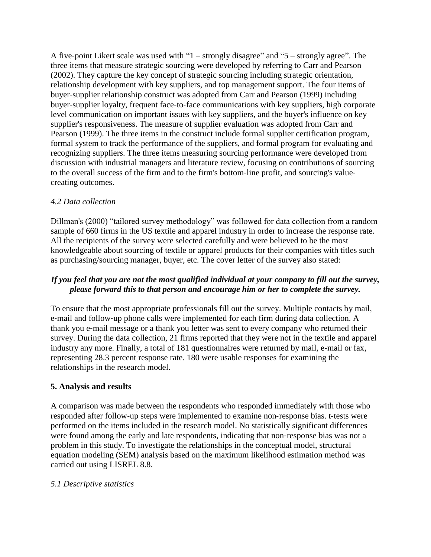A five-point Likert scale was used with "1 – strongly disagree" and "5 – strongly agree". The three items that measure strategic sourcing were developed by referring to Carr and Pearson (2002). They capture the key concept of strategic sourcing including strategic orientation, relationship development with key suppliers, and top management support. The four items of buyer‐supplier relationship construct was adopted from Carr and Pearson (1999) including buyer-supplier loyalty, frequent face-to-face communications with key suppliers, high corporate level communication on important issues with key suppliers, and the buyer's influence on key supplier's responsiveness. The measure of supplier evaluation was adopted from Carr and Pearson (1999). The three items in the construct include formal supplier certification program, formal system to track the performance of the suppliers, and formal program for evaluating and recognizing suppliers. The three items measuring sourcing performance were developed from discussion with industrial managers and literature review, focusing on contributions of sourcing to the overall success of the firm and to the firm's bottom‐line profit, and sourcing's value‐ creating outcomes.

### *4.2 Data collection*

Dillman's (2000) "tailored survey methodology" was followed for data collection from a random sample of 660 firms in the US textile and apparel industry in order to increase the response rate. All the recipients of the survey were selected carefully and were believed to be the most knowledgeable about sourcing of textile or apparel products for their companies with titles such as purchasing/sourcing manager, buyer, etc. The cover letter of the survey also stated:

## *If you feel that you are not the most qualified individual at your company to fill out the survey, please forward this to that person and encourage him or her to complete the survey.*

To ensure that the most appropriate professionals fill out the survey. Multiple contacts by mail, e-mail and follow-up phone calls were implemented for each firm during data collection. A thank you e‐mail message or a thank you letter was sent to every company who returned their survey. During the data collection, 21 firms reported that they were not in the textile and apparel industry any more. Finally, a total of 181 questionnaires were returned by mail, e-mail or fax, representing 28.3 percent response rate. 180 were usable responses for examining the relationships in the research model.

### **5. Analysis and results**

A comparison was made between the respondents who responded immediately with those who responded after follow‐up steps were implemented to examine non‐response bias. t‐tests were performed on the items included in the research model. No statistically significant differences were found among the early and late respondents, indicating that non-response bias was not a problem in this study. To investigate the relationships in the conceptual model, structural equation modeling (SEM) analysis based on the maximum likelihood estimation method was carried out using LISREL 8.8.

### *5.1 Descriptive statistics*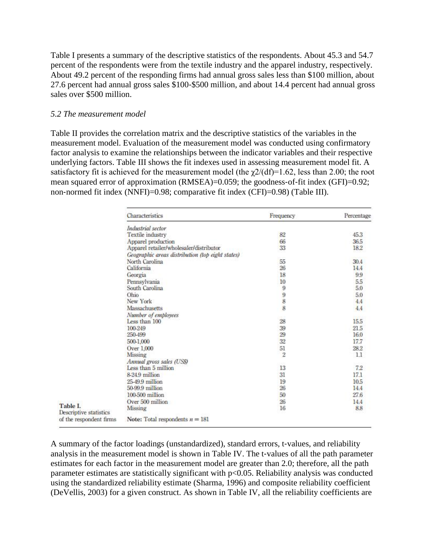Table I presents a summary of the descriptive statistics of the respondents. About 45.3 and 54.7 percent of the respondents were from the textile industry and the apparel industry, respectively. About 49.2 percent of the responding firms had annual gross sales less than \$100 million, about 27.6 percent had annual gross sales \$100‐\$500 million, and about 14.4 percent had annual gross sales over \$500 million.

### *5.2 The measurement model*

Table II provides the correlation matrix and the descriptive statistics of the variables in the measurement model. Evaluation of the measurement model was conducted using confirmatory factor analysis to examine the relationships between the indicator variables and their respective underlying factors. Table III shows the fit indexes used in assessing measurement model fit. A satisfactory fit is achieved for the measurement model (the  $\chi$ 2/(df)=1.62, less than 2.00; the root mean squared error of approximation (RMSEA)=0.059; the goodness-of-fit index (GFI)=0.92; non‐normed fit index (NNFI)=0.98; comparative fit index (CFI)=0.98) (Table III).

|                                    | Characteristics                                  | Frequency      | Percentage |
|------------------------------------|--------------------------------------------------|----------------|------------|
|                                    | Industrial sector                                |                |            |
|                                    | Textile industry                                 | 82             | 45.3       |
|                                    | Apparel production                               | 66             | 36.5       |
|                                    | Apparel retailer/wholesaler/distributor          | 33             | 18.2       |
|                                    | Geographic areas distribution (top eight states) |                |            |
|                                    | North Carolina                                   | 55             | 30.4       |
|                                    | California                                       | 26             | 14.4       |
|                                    | Georgia                                          | 18             | 9.9        |
|                                    | Pennsylvania                                     | 10             | 5.5        |
|                                    | South Carolina                                   | 9              | 5.0        |
|                                    | Ohio                                             | 9              | 5.0        |
|                                    | New York                                         | 8              | 4.4        |
|                                    | Massachusetts                                    | 8              | 4.4        |
|                                    | Number of employees                              |                |            |
|                                    | Less than 100                                    | 28             | 15.5       |
|                                    | 100-249                                          | 39             | 21.5       |
|                                    | 250-499                                          | 29             | 16.0       |
|                                    | 500-1,000                                        | 32             | 17.7       |
|                                    | Over 1,000                                       | 51             | 28.2       |
|                                    | Missing                                          | $\overline{2}$ | 11         |
|                                    | Annual gross sales (US\$)                        |                |            |
|                                    | Less than 5 million                              | 13             | 72         |
|                                    | 8-24.9 million                                   | 31             | 17.1       |
|                                    | 25-49.9 million                                  | 19             | 10.5       |
|                                    | 50-99.9 million                                  | 26             | 14.4       |
|                                    | 100-500 million                                  | 50             | 27.6       |
|                                    | Over 500 million                                 | 26             | 14.4       |
| Table I.<br>Descriptive statistics | Missing                                          | 16             | 8.8        |
| of the respondent firms            | Note: Total respondents $n = 181$                |                |            |

A summary of the factor loadings (unstandardized), standard errors, t‐values, and reliability analysis in the measurement model is shown in Table IV. The t-values of all the path parameter estimates for each factor in the measurement model are greater than 2.0; therefore, all the path parameter estimates are statistically significant with p<0.05. Reliability analysis was conducted using the standardized reliability estimate (Sharma, 1996) and composite reliability coefficient (DeVellis, 2003) for a given construct. As shown in Table IV, all the reliability coefficients are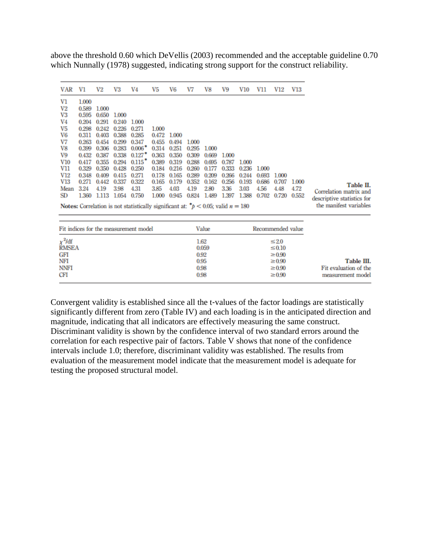above the threshold 0.60 which DeVellis (2003) recommended and the acceptable guideline 0.70 which Nunnally (1978) suggested, indicating strong support for the construct reliability.

| VAR                                                                                      | V1                                                                                              | V2                                                                                     | V3                                                                            | V4                                                                                                                              | V5                                                          | V6                                                 | V7                                        | V8                               | V9                              | $_{\rm V10}$                    | V11                             | V12                             | V13                    |                                                                                             |
|------------------------------------------------------------------------------------------|-------------------------------------------------------------------------------------------------|----------------------------------------------------------------------------------------|-------------------------------------------------------------------------------|---------------------------------------------------------------------------------------------------------------------------------|-------------------------------------------------------------|----------------------------------------------------|-------------------------------------------|----------------------------------|---------------------------------|---------------------------------|---------------------------------|---------------------------------|------------------------|---------------------------------------------------------------------------------------------|
| V1<br>V <sub>2</sub><br>V3<br>V <sub>4</sub><br>V5<br>V6<br>V7<br>V8<br>V9<br>V10<br>V11 | 1.000<br>0.589<br>0.595<br>0.204<br>0.298<br>0.311<br>0.263<br>0.399<br>0.432<br>0.417<br>0.329 | 1.000<br>0.650<br>0.291<br>0.242<br>0.403<br>0.454<br>0.306<br>0.387<br>0.355<br>0.350 | 1.000<br>0.240<br>0.226<br>0.388<br>0.299<br>0.283<br>0.338<br>0.294<br>0.428 | 1.000<br>0.271<br>0.285<br>0.347<br>$0.006*$<br>0.127<br>$0.115$ <sup>*</sup><br>0.250                                          | 1.000<br>0.472<br>0.455<br>0.314<br>0.363<br>0.389<br>0.184 | 1.000<br>0.494<br>0.251<br>0.350<br>0.319<br>0.216 | 1.000<br>0.295<br>0.309<br>0.288<br>0.260 | 1.000<br>0.669<br>0.695<br>0.177 | 1.000<br>0.787<br>0.333         | 1.000<br>0.236                  | 1.000                           |                                 |                        |                                                                                             |
| V12<br>V13<br>Mean<br>SD                                                                 | 0.348<br>0.271<br>3.24<br>1.360                                                                 | 0.409<br>0.442<br>4.19<br>1.113                                                        | 0.415<br>0.337<br>3.98<br>1.054                                               | 0.271<br>0.322<br>4.31<br>0.750<br>Notes: Correlation is not statistically significant at: $\gamma \sim 0.05$ ; valid $n = 180$ | 0.178<br>0.165<br>3.85<br>1.000                             | 0.165<br>0.179<br>4.03<br>0.945                    | 0.289<br>0.352<br>4.19<br>0.824           | 0.209<br>0.162<br>2.80<br>1.489  | 0.266<br>0.256<br>3.36<br>1.397 | 0.244<br>0.193<br>3.03<br>1.388 | 0.693<br>0.686<br>4.56<br>0.702 | 1.000<br>0.707<br>4.48<br>0.720 | 1.000<br>4.72<br>0.552 | Table II.<br>Correlation matrix and<br>descriptive statistics for<br>the manifest variables |

| Fit indices for the measurement model | Value        | Recommended value          |                       |
|---------------------------------------|--------------|----------------------------|-----------------------|
| $\chi^2$ /df<br>RMSEA                 | 1.62         | $\leq 2.0$                 |                       |
|                                       | 0.059        | $\leq 0.10$                |                       |
| GFI<br>NFI                            | 0.92<br>0.95 | $\geq 0.90$<br>$\geq 0.90$ | Table III.            |
| <b>NNFI</b>                           | 0.98         | $\geq 0.90$                | Fit evaluation of the |
| CFI                                   | 0.98         | $\geq 0.90$                | measurement model     |

Convergent validity is established since all the t-values of the factor loadings are statistically significantly different from zero (Table IV) and each loading is in the anticipated direction and magnitude, indicating that all indicators are effectively measuring the same construct. Discriminant validity is shown by the confidence interval of two standard errors around the correlation for each respective pair of factors. Table V shows that none of the confidence intervals include 1.0; therefore, discriminant validity was established. The results from evaluation of the measurement model indicate that the measurement model is adequate for testing the proposed structural model.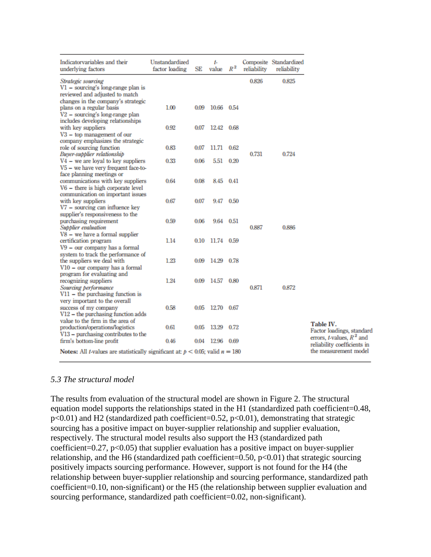| Indicatoryariables and their<br>underlying factors                                                | Unstandardized<br>factor loading | SE        | t.<br>value | $R^2$     | reliability | Composite Standardized<br>reliability |
|---------------------------------------------------------------------------------------------------|----------------------------------|-----------|-------------|-----------|-------------|---------------------------------------|
| Strategic sourcing                                                                                |                                  |           |             |           | 0.826       | 0.825                                 |
| $V1$ – sourcing's long-range plan is<br>reviewed and adjusted to match                            |                                  |           |             |           |             |                                       |
| changes in the company's strategic                                                                |                                  |           |             |           |             |                                       |
| plans on a regular basis                                                                          | 1.00                             | 0.09      | 10.66 0.54  |           |             |                                       |
| V2 - sourcing's long-range plan                                                                   |                                  |           |             |           |             |                                       |
| includes developing relationships                                                                 |                                  |           |             |           |             |                                       |
| with key suppliers                                                                                | 0.92                             | 0.07      | 12.42 0.68  |           |             |                                       |
| $V3 - top management of our$<br>company emphasizes the strategic                                  |                                  |           |             |           |             |                                       |
| role of sourcing function                                                                         | 0.83                             | 0.07      | 11.71       | 0.62      |             |                                       |
| Buyer-supplier relationship                                                                       |                                  |           |             |           | 0.731       | 0.724                                 |
| $V4 -$ we are loyal to key suppliers                                                              | 0.33                             | 0.06      | 5.51        | 0.20      |             |                                       |
| V5 - we have very frequent face-to-                                                               |                                  |           |             |           |             |                                       |
| face planning meetings or<br>communications with key suppliers                                    | 0.64                             | 0.08      |             | 8.45 0.41 |             |                                       |
| $V6$ – there is high corporate level                                                              |                                  |           |             |           |             |                                       |
| communication on important issues                                                                 |                                  |           |             |           |             |                                       |
| with key suppliers                                                                                | 0.67                             | 0.07      | 9.47        | 0.50      |             |                                       |
| V7 - sourcing can influence key                                                                   |                                  |           |             |           |             |                                       |
| supplier's responsiveness to the                                                                  |                                  |           |             |           |             |                                       |
| purchasing requirement<br>Supplier evaluation                                                     | 0.59                             | 0.06      | 9.64        | 0.51      | 0.887       | 0.886                                 |
| $V8 -$ we have a formal supplier                                                                  |                                  |           |             |           |             |                                       |
| certification program                                                                             | 1.14                             | $_{0.10}$ | 11.74 0.59  |           |             |                                       |
| $V9 - our company has a formal$                                                                   |                                  |           |             |           |             |                                       |
| system to track the performance of                                                                |                                  |           |             |           |             |                                       |
| the suppliers we deal with                                                                        | 1.23                             | 0.09      | 14.29 0.78  |           |             |                                       |
| $V10 - our company has a formal$<br>program for evaluating and                                    |                                  |           |             |           |             |                                       |
| recognizing suppliers                                                                             | 1.24                             | 0.09      | 14.57 0.80  |           |             |                                       |
| Sourcing performance                                                                              |                                  |           |             |           | 0.871       | 0.872                                 |
| $V11$ – the purchasing function is                                                                |                                  |           |             |           |             |                                       |
| very important to the overall                                                                     |                                  |           |             |           |             |                                       |
| success of my company<br>$V12$ – the purchasing function adds                                     | 0.58                             | 0.05      | 12.70       | 0.67      |             |                                       |
| value to the firm in the area of                                                                  |                                  |           |             |           |             |                                       |
| production/operations/logistics                                                                   | 0.61                             | 0.05      | 13.29       | 0.72      |             |                                       |
| $V13$ – purchasing contributes to the                                                             |                                  |           |             |           |             |                                       |
| firm's bottom-line profit                                                                         | 0.46                             | 0.04      | 12.96       | 0.69      |             |                                       |
| <b>Notes:</b> All <i>t</i> -values are statistically significant at: $p < 0.05$ ; valid $n = 180$ |                                  |           |             |           |             |                                       |
|                                                                                                   |                                  |           |             |           |             |                                       |

#### *5.3 The structural model*

The results from evaluation of the structural model are shown in Figure 2. The structural equation model supports the relationships stated in the H1 (standardized path coefficient=0.48,  $p<0.01$ ) and H2 (standardized path coefficient=0.52,  $p<0.01$ ), demonstrating that strategic sourcing has a positive impact on buyer-supplier relationship and supplier evaluation, respectively. The structural model results also support the H3 (standardized path coefficient=0.27,  $p<0.05$ ) that supplier evaluation has a positive impact on buyer-supplier relationship, and the H6 (standardized path coefficient=0.50,  $p<0.01$ ) that strategic sourcing positively impacts sourcing performance. However, support is not found for the H4 (the relationship between buyer-supplier relationship and sourcing performance, standardized path coefficient=0.10, non-significant) or the H5 (the relationship between supplier evaluation and sourcing performance, standardized path coefficient=0.02, non-significant).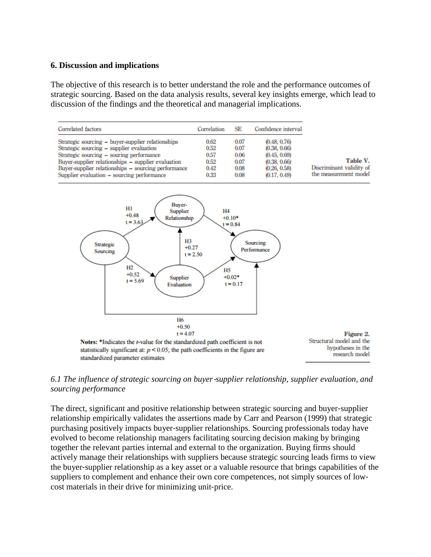#### **6. Discussion and implications**

The objective of this research is to better understand the role and the performance outcomes of strategic sourcing. Based on the data analysis results, several key insights emerge, which lead to discussion of the findings and the theoretical and managerial implications.

| Correlated factors                                  | Correlation | SE   | Confidence interval |
|-----------------------------------------------------|-------------|------|---------------------|
| Strategic sourcing – buyer-supplier relationships   | 0.62        | 0.07 | (0.48, 0.76)        |
| Strategic sourcing – supplier evaluation            | 0.52        | 0.07 | (0.38, 0.66)        |
| Strategic sourcing – souring performance            | 0.57        | 0.06 | (0.45, 0.69)        |
| Buyer-supplier relationships - supplier evaluation  | 0.52        | 0.07 | (0.38, 0.66)        |
| Buyer-supplier relationships – sourcing performance | 0.42        | 0.08 | (0.26, 0.58)        |
| Supplier evaluation – sourcing performance          | 0.33        | 0.08 | (0.17, 0.49)        |



### *6.1 The influence of strategic sourcing on buyer*‐*supplier relationship, supplier evaluation, and sourcing performance*

The direct, significant and positive relationship between strategic sourcing and buyer–supplier relationship empirically validates the assertions made by Carr and Pearson (1999) that strategic purchasing positively impacts buyer‐supplier relationships. Sourcing professionals today have evolved to become relationship managers facilitating sourcing decision making by bringing together the relevant parties internal and external to the organization. Buying firms should actively manage their relationships with suppliers because strategic sourcing leads firms to view the buyer‐supplier relationship as a key asset or a valuable resource that brings capabilities of the suppliers to complement and enhance their own core competences, not simply sources of lowcost materials in their drive for minimizing unit‐price.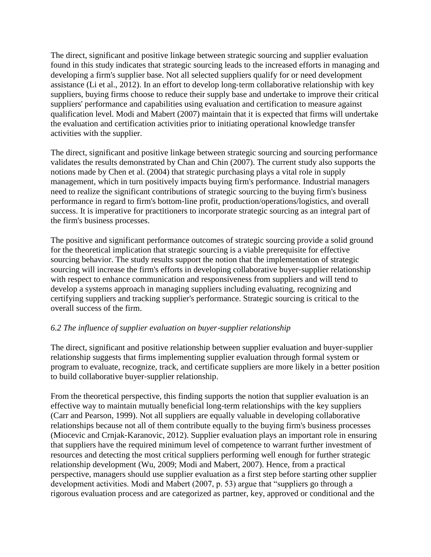The direct, significant and positive linkage between strategic sourcing and supplier evaluation found in this study indicates that strategic sourcing leads to the increased efforts in managing and developing a firm's supplier base. Not all selected suppliers qualify for or need development assistance (Li et al., 2012). In an effort to develop long‐term collaborative relationship with key suppliers, buying firms choose to reduce their supply base and undertake to improve their critical suppliers' performance and capabilities using evaluation and certification to measure against qualification level. Modi and Mabert (2007) maintain that it is expected that firms will undertake the evaluation and certification activities prior to initiating operational knowledge transfer activities with the supplier.

The direct, significant and positive linkage between strategic sourcing and sourcing performance validates the results demonstrated by Chan and Chin (2007). The current study also supports the notions made by Chen et al. (2004) that strategic purchasing plays a vital role in supply management, which in turn positively impacts buying firm's performance. Industrial managers need to realize the significant contributions of strategic sourcing to the buying firm's business performance in regard to firm's bottom‐line profit, production/operations/logistics, and overall success. It is imperative for practitioners to incorporate strategic sourcing as an integral part of the firm's business processes.

The positive and significant performance outcomes of strategic sourcing provide a solid ground for the theoretical implication that strategic sourcing is a viable prerequisite for effective sourcing behavior. The study results support the notion that the implementation of strategic sourcing will increase the firm's efforts in developing collaborative buyer-supplier relationship with respect to enhance communication and responsiveness from suppliers and will tend to develop a systems approach in managing suppliers including evaluating, recognizing and certifying suppliers and tracking supplier's performance. Strategic sourcing is critical to the overall success of the firm.

## *6.2 The influence of supplier evaluation on buyer*‐*supplier relationship*

The direct, significant and positive relationship between supplier evaluation and buyer-supplier relationship suggests that firms implementing supplier evaluation through formal system or program to evaluate, recognize, track, and certificate suppliers are more likely in a better position to build collaborative buyer‐supplier relationship.

From the theoretical perspective, this finding supports the notion that supplier evaluation is an effective way to maintain mutually beneficial long‐term relationships with the key suppliers (Carr and Pearson, 1999). Not all suppliers are equally valuable in developing collaborative relationships because not all of them contribute equally to the buying firm's business processes (Miocevic and Crnjak‐Karanovic, 2012). Supplier evaluation plays an important role in ensuring that suppliers have the required minimum level of competence to warrant further investment of resources and detecting the most critical suppliers performing well enough for further strategic relationship development (Wu, 2009; Modi and Mabert, 2007). Hence, from a practical perspective, managers should use supplier evaluation as a first step before starting other supplier development activities. Modi and Mabert (2007, p. 53) argue that "suppliers go through a rigorous evaluation process and are categorized as partner, key, approved or conditional and the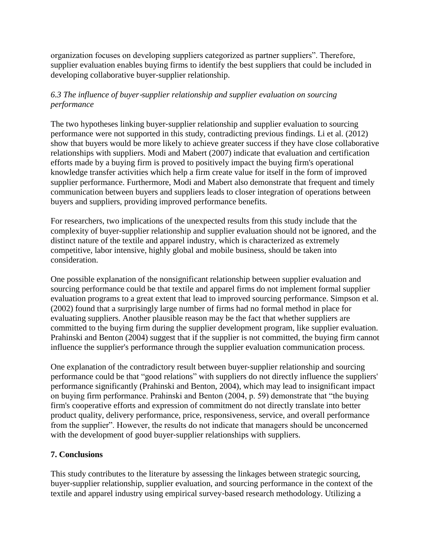organization focuses on developing suppliers categorized as partner suppliers". Therefore, supplier evaluation enables buying firms to identify the best suppliers that could be included in developing collaborative buyer‐supplier relationship.

# *6.3 The influence of buyer*‐*supplier relationship and supplier evaluation on sourcing performance*

The two hypotheses linking buyer-supplier relationship and supplier evaluation to sourcing performance were not supported in this study, contradicting previous findings. Li et al. (2012) show that buyers would be more likely to achieve greater success if they have close collaborative relationships with suppliers. Modi and Mabert (2007) indicate that evaluation and certification efforts made by a buying firm is proved to positively impact the buying firm's operational knowledge transfer activities which help a firm create value for itself in the form of improved supplier performance. Furthermore, Modi and Mabert also demonstrate that frequent and timely communication between buyers and suppliers leads to closer integration of operations between buyers and suppliers, providing improved performance benefits.

For researchers, two implications of the unexpected results from this study include that the complexity of buyer‐supplier relationship and supplier evaluation should not be ignored, and the distinct nature of the textile and apparel industry, which is characterized as extremely competitive, labor intensive, highly global and mobile business, should be taken into consideration.

One possible explanation of the nonsignificant relationship between supplier evaluation and sourcing performance could be that textile and apparel firms do not implement formal supplier evaluation programs to a great extent that lead to improved sourcing performance. Simpson et al. (2002) found that a surprisingly large number of firms had no formal method in place for evaluating suppliers. Another plausible reason may be the fact that whether suppliers are committed to the buying firm during the supplier development program, like supplier evaluation. Prahinski and Benton (2004) suggest that if the supplier is not committed, the buying firm cannot influence the supplier's performance through the supplier evaluation communication process.

One explanation of the contradictory result between buyer-supplier relationship and sourcing performance could be that "good relations" with suppliers do not directly influence the suppliers' performance significantly (Prahinski and Benton, 2004), which may lead to insignificant impact on buying firm performance. Prahinski and Benton (2004, p. 59) demonstrate that "the buying firm's cooperative efforts and expression of commitment do not directly translate into better product quality, delivery performance, price, responsiveness, service, and overall performance from the supplier". However, the results do not indicate that managers should be unconcerned with the development of good buyer-supplier relationships with suppliers.

# **7. Conclusions**

This study contributes to the literature by assessing the linkages between strategic sourcing, buyer‐supplier relationship, supplier evaluation, and sourcing performance in the context of the textile and apparel industry using empirical survey‐based research methodology. Utilizing a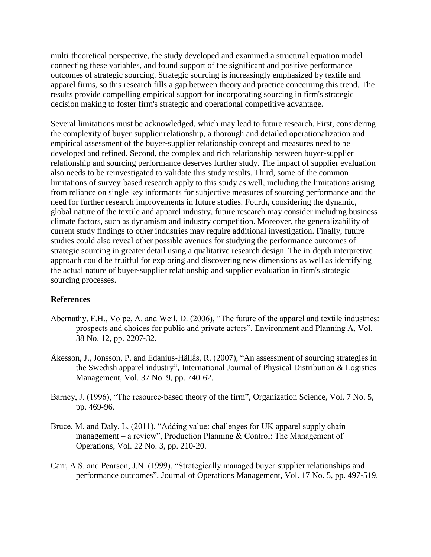multi-theoretical perspective, the study developed and examined a structural equation model connecting these variables, and found support of the significant and positive performance outcomes of strategic sourcing. Strategic sourcing is increasingly emphasized by textile and apparel firms, so this research fills a gap between theory and practice concerning this trend. The results provide compelling empirical support for incorporating sourcing in firm's strategic decision making to foster firm's strategic and operational competitive advantage.

Several limitations must be acknowledged, which may lead to future research. First, considering the complexity of buyer‐supplier relationship, a thorough and detailed operationalization and empirical assessment of the buyer‐supplier relationship concept and measures need to be developed and refined. Second, the complex and rich relationship between buyer-supplier relationship and sourcing performance deserves further study. The impact of supplier evaluation also needs to be reinvestigated to validate this study results. Third, some of the common limitations of survey-based research apply to this study as well, including the limitations arising from reliance on single key informants for subjective measures of sourcing performance and the need for further research improvements in future studies. Fourth, considering the dynamic, global nature of the textile and apparel industry, future research may consider including business climate factors, such as dynamism and industry competition. Moreover, the generalizability of current study findings to other industries may require additional investigation. Finally, future studies could also reveal other possible avenues for studying the performance outcomes of strategic sourcing in greater detail using a qualitative research design. The in‐depth interpretive approach could be fruitful for exploring and discovering new dimensions as well as identifying the actual nature of buyer‐supplier relationship and supplier evaluation in firm's strategic sourcing processes.

### **References**

- Abernathy, F.H., Volpe, A. and Weil, D. (2006), "The future of the apparel and textile industries: prospects and choices for public and private actors", Environment and Planning A, Vol. 38 No. 12, pp. 2207‐32.
- Åkesson, J., Jonsson, P. and Edanius‐Hällås, R. (2007), "An assessment of sourcing strategies in the Swedish apparel industry", International Journal of Physical Distribution & Logistics Management, Vol. 37 No. 9, pp. 740‐62.
- Barney, J. (1996), "The resource-based theory of the firm", Organization Science, Vol. 7 No. 5, pp. 469‐96.
- Bruce, M. and Daly, L. (2011), "Adding value: challenges for UK apparel supply chain management – a review", Production Planning & Control: The Management of Operations, Vol. 22 No. 3, pp. 210‐20.
- Carr, A.S. and Pearson, J.N. (1999), "Strategically managed buyer‐supplier relationships and performance outcomes", Journal of Operations Management, Vol. 17 No. 5, pp. 497‐519.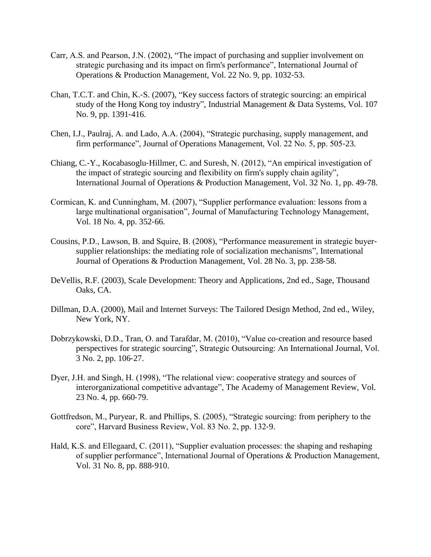- Carr, A.S. and Pearson, J.N. (2002), "The impact of purchasing and supplier involvement on strategic purchasing and its impact on firm's performance", International Journal of Operations & Production Management, Vol. 22 No. 9, pp. 1032‐53.
- Chan, T.C.T. and Chin, K.‐S. (2007), "Key success factors of strategic sourcing: an empirical study of the Hong Kong toy industry", Industrial Management & Data Systems, Vol. 107 No. 9, pp. 1391-416.
- Chen, I.J., Paulraj, A. and Lado, A.A. (2004), "Strategic purchasing, supply management, and firm performance", Journal of Operations Management, Vol. 22 No. 5, pp. 505‐23.
- Chiang, C.‐Y., Kocabasoglu‐Hillmer, C. and Suresh, N. (2012), "An empirical investigation of the impact of strategic sourcing and flexibility on firm's supply chain agility", International Journal of Operations & Production Management, Vol. 32 No. 1, pp. 49‐78.
- Cormican, K. and Cunningham, M. (2007), "Supplier performance evaluation: lessons from a large multinational organisation", Journal of Manufacturing Technology Management, Vol. 18 No. 4, pp. 352‐66.
- Cousins, P.D., Lawson, B. and Squire, B. (2008), "Performance measurement in strategic buyer‐ supplier relationships: the mediating role of socialization mechanisms", International Journal of Operations & Production Management, Vol. 28 No. 3, pp. 238‐58.
- DeVellis, R.F. (2003), Scale Development: Theory and Applications, 2nd ed., Sage, Thousand Oaks, CA.
- Dillman, D.A. (2000), Mail and Internet Surveys: The Tailored Design Method, 2nd ed., Wiley, New York, NY.
- Dobrzykowski, D.D., Tran, O. and Tarafdar, M. (2010), "Value co-creation and resource based perspectives for strategic sourcing", Strategic Outsourcing: An International Journal, Vol. 3 No. 2, pp. 106‐27.
- Dyer, J.H. and Singh, H. (1998), "The relational view: cooperative strategy and sources of interorganizational competitive advantage", The Academy of Management Review, Vol. 23 No. 4, pp. 660‐79.
- Gottfredson, M., Puryear, R. and Phillips, S. (2005), "Strategic sourcing: from periphery to the core", Harvard Business Review, Vol. 83 No. 2, pp. 132‐9.
- Hald, K.S. and Ellegaard, C. (2011), "Supplier evaluation processes: the shaping and reshaping of supplier performance", International Journal of Operations & Production Management, Vol. 31 No. 8, pp. 888‐910.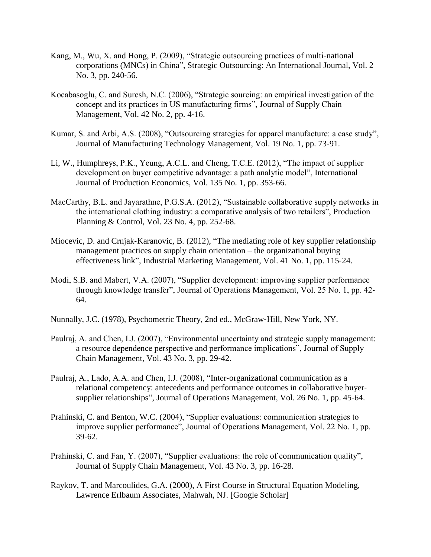- Kang, M., Wu, X. and Hong, P. (2009), "Strategic outsourcing practices of multi-national corporations (MNCs) in China", Strategic Outsourcing: An International Journal, Vol. 2 No. 3, pp. 240-56.
- Kocabasoglu, C. and Suresh, N.C. (2006), "Strategic sourcing: an empirical investigation of the concept and its practices in US manufacturing firms", Journal of Supply Chain Management, Vol. 42 No. 2, pp. 4‐16.
- Kumar, S. and Arbi, A.S. (2008), "Outsourcing strategies for apparel manufacture: a case study", Journal of Manufacturing Technology Management, Vol. 19 No. 1, pp. 73‐91.
- Li, W., Humphreys, P.K., Yeung, A.C.L. and Cheng, T.C.E. (2012), "The impact of supplier development on buyer competitive advantage: a path analytic model", International Journal of Production Economics, Vol. 135 No. 1, pp. 353‐66.
- MacCarthy, B.L. and Jayarathne, P.G.S.A. (2012), "Sustainable collaborative supply networks in the international clothing industry: a comparative analysis of two retailers", Production Planning & Control, Vol. 23 No. 4, pp. 252‐68.
- Miocevic, D. and Crnjak‐Karanovic, B. (2012), "The mediating role of key supplier relationship management practices on supply chain orientation – the organizational buying effectiveness link", Industrial Marketing Management, Vol. 41 No. 1, pp. 115‐24.
- Modi, S.B. and Mabert, V.A. (2007), "Supplier development: improving supplier performance through knowledge transfer", Journal of Operations Management, Vol. 25 No. 1, pp. 42‐ 64.
- Nunnally, J.C. (1978), Psychometric Theory, 2nd ed., McGraw‐Hill, New York, NY.
- Paulraj, A. and Chen, I.J. (2007), "Environmental uncertainty and strategic supply management: a resource dependence perspective and performance implications", Journal of Supply Chain Management, Vol. 43 No. 3, pp. 29‐42.
- Paulraj, A., Lado, A.A. and Chen, I.J. (2008), "Inter‐organizational communication as a relational competency: antecedents and performance outcomes in collaborative buyer‐ supplier relationships", Journal of Operations Management, Vol. 26 No. 1, pp. 45‐64.
- Prahinski, C. and Benton, W.C. (2004), "Supplier evaluations: communication strategies to improve supplier performance", Journal of Operations Management, Vol. 22 No. 1, pp. 39‐62.
- Prahinski, C. and Fan, Y. (2007), "Supplier evaluations: the role of communication quality", Journal of Supply Chain Management, Vol. 43 No. 3, pp. 16‐28.
- Raykov, T. and Marcoulides, G.A. (2000), A First Course in Structural Equation Modeling, Lawrence Erlbaum Associates, Mahwah, NJ. [Google Scholar]